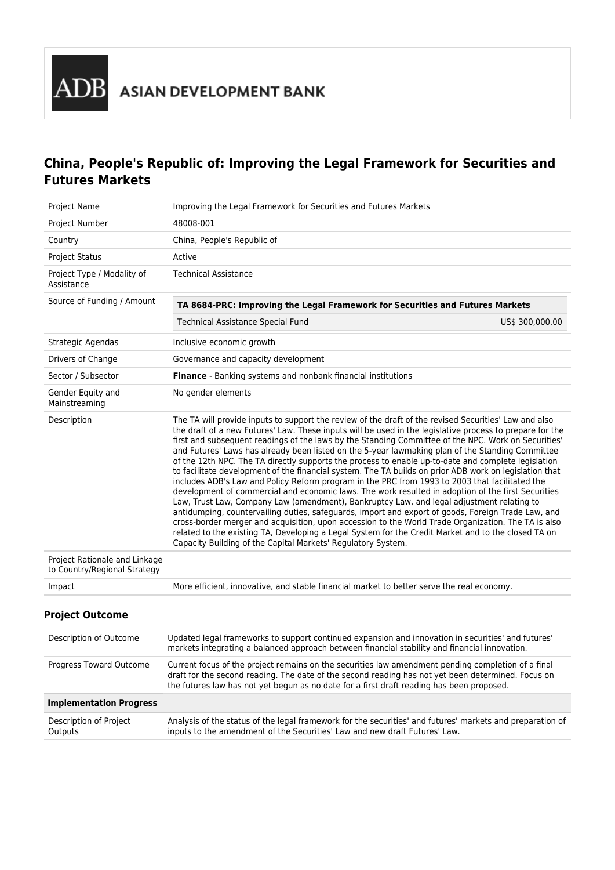# **China, People's Republic of: Improving the Legal Framework for Securities and Futures Markets**

| Project Name                                                  | Improving the Legal Framework for Securities and Futures Markets                                                                                                                                                                                                                                                                                                                                                                                                                                                                                                                                                                                                                                                                                                                                                                                                                                                                                                                                                                                                                                                                                                                                                                                                                                                                       |                 |
|---------------------------------------------------------------|----------------------------------------------------------------------------------------------------------------------------------------------------------------------------------------------------------------------------------------------------------------------------------------------------------------------------------------------------------------------------------------------------------------------------------------------------------------------------------------------------------------------------------------------------------------------------------------------------------------------------------------------------------------------------------------------------------------------------------------------------------------------------------------------------------------------------------------------------------------------------------------------------------------------------------------------------------------------------------------------------------------------------------------------------------------------------------------------------------------------------------------------------------------------------------------------------------------------------------------------------------------------------------------------------------------------------------------|-----------------|
| Project Number                                                | 48008-001                                                                                                                                                                                                                                                                                                                                                                                                                                                                                                                                                                                                                                                                                                                                                                                                                                                                                                                                                                                                                                                                                                                                                                                                                                                                                                                              |                 |
| Country                                                       | China, People's Republic of                                                                                                                                                                                                                                                                                                                                                                                                                                                                                                                                                                                                                                                                                                                                                                                                                                                                                                                                                                                                                                                                                                                                                                                                                                                                                                            |                 |
| <b>Project Status</b>                                         | Active                                                                                                                                                                                                                                                                                                                                                                                                                                                                                                                                                                                                                                                                                                                                                                                                                                                                                                                                                                                                                                                                                                                                                                                                                                                                                                                                 |                 |
| Project Type / Modality of<br>Assistance                      | <b>Technical Assistance</b>                                                                                                                                                                                                                                                                                                                                                                                                                                                                                                                                                                                                                                                                                                                                                                                                                                                                                                                                                                                                                                                                                                                                                                                                                                                                                                            |                 |
| Source of Funding / Amount                                    | TA 8684-PRC: Improving the Legal Framework for Securities and Futures Markets                                                                                                                                                                                                                                                                                                                                                                                                                                                                                                                                                                                                                                                                                                                                                                                                                                                                                                                                                                                                                                                                                                                                                                                                                                                          |                 |
|                                                               | <b>Technical Assistance Special Fund</b>                                                                                                                                                                                                                                                                                                                                                                                                                                                                                                                                                                                                                                                                                                                                                                                                                                                                                                                                                                                                                                                                                                                                                                                                                                                                                               | US\$ 300,000.00 |
| Strategic Agendas                                             | Inclusive economic growth                                                                                                                                                                                                                                                                                                                                                                                                                                                                                                                                                                                                                                                                                                                                                                                                                                                                                                                                                                                                                                                                                                                                                                                                                                                                                                              |                 |
| Drivers of Change                                             | Governance and capacity development                                                                                                                                                                                                                                                                                                                                                                                                                                                                                                                                                                                                                                                                                                                                                                                                                                                                                                                                                                                                                                                                                                                                                                                                                                                                                                    |                 |
| Sector / Subsector                                            | <b>Finance</b> - Banking systems and nonbank financial institutions                                                                                                                                                                                                                                                                                                                                                                                                                                                                                                                                                                                                                                                                                                                                                                                                                                                                                                                                                                                                                                                                                                                                                                                                                                                                    |                 |
| Gender Equity and<br>Mainstreaming                            | No gender elements                                                                                                                                                                                                                                                                                                                                                                                                                                                                                                                                                                                                                                                                                                                                                                                                                                                                                                                                                                                                                                                                                                                                                                                                                                                                                                                     |                 |
| Description                                                   | The TA will provide inputs to support the review of the draft of the revised Securities' Law and also<br>the draft of a new Futures' Law. These inputs will be used in the legislative process to prepare for the<br>first and subsequent readings of the laws by the Standing Committee of the NPC. Work on Securities'<br>and Futures' Laws has already been listed on the 5-year lawmaking plan of the Standing Committee<br>of the 12th NPC. The TA directly supports the process to enable up-to-date and complete legislation<br>to facilitate development of the financial system. The TA builds on prior ADB work on legislation that<br>includes ADB's Law and Policy Reform program in the PRC from 1993 to 2003 that facilitated the<br>development of commercial and economic laws. The work resulted in adoption of the first Securities<br>Law, Trust Law, Company Law (amendment), Bankruptcy Law, and legal adjustment relating to<br>antidumping, countervailing duties, safeguards, import and export of goods, Foreign Trade Law, and<br>cross-border merger and acquisition, upon accession to the World Trade Organization. The TA is also<br>related to the existing TA, Developing a Legal System for the Credit Market and to the closed TA on<br>Capacity Building of the Capital Markets' Regulatory System. |                 |
| Project Rationale and Linkage<br>to Country/Regional Strategy |                                                                                                                                                                                                                                                                                                                                                                                                                                                                                                                                                                                                                                                                                                                                                                                                                                                                                                                                                                                                                                                                                                                                                                                                                                                                                                                                        |                 |
| Impact                                                        | More efficient, innovative, and stable financial market to better serve the real economy.                                                                                                                                                                                                                                                                                                                                                                                                                                                                                                                                                                                                                                                                                                                                                                                                                                                                                                                                                                                                                                                                                                                                                                                                                                              |                 |
| <b>Project Outcome</b>                                        |                                                                                                                                                                                                                                                                                                                                                                                                                                                                                                                                                                                                                                                                                                                                                                                                                                                                                                                                                                                                                                                                                                                                                                                                                                                                                                                                        |                 |
| Description of Outcome                                        | Updated legal frameworks to support continued expansion and innovation in securities' and futures'<br>markets integrating a balanced approach between financial stability and financial innovation.                                                                                                                                                                                                                                                                                                                                                                                                                                                                                                                                                                                                                                                                                                                                                                                                                                                                                                                                                                                                                                                                                                                                    |                 |
| Progress Toward Outcome                                       | Current focus of the project remains on the securities law amendment pending completion of a final<br>draft for the second reading. The date of the second reading has not yet been determined. Focus on<br>the futures law has not yet begun as no date for a first draft reading has been proposed.                                                                                                                                                                                                                                                                                                                                                                                                                                                                                                                                                                                                                                                                                                                                                                                                                                                                                                                                                                                                                                  |                 |
| <b>Implementation Progress</b>                                |                                                                                                                                                                                                                                                                                                                                                                                                                                                                                                                                                                                                                                                                                                                                                                                                                                                                                                                                                                                                                                                                                                                                                                                                                                                                                                                                        |                 |
| Description of Project<br>Outputs                             | Analysis of the status of the legal framework for the securities' and futures' markets and preparation of<br>inputs to the amendment of the Securities' Law and new draft Futures' Law.                                                                                                                                                                                                                                                                                                                                                                                                                                                                                                                                                                                                                                                                                                                                                                                                                                                                                                                                                                                                                                                                                                                                                |                 |
|                                                               |                                                                                                                                                                                                                                                                                                                                                                                                                                                                                                                                                                                                                                                                                                                                                                                                                                                                                                                                                                                                                                                                                                                                                                                                                                                                                                                                        |                 |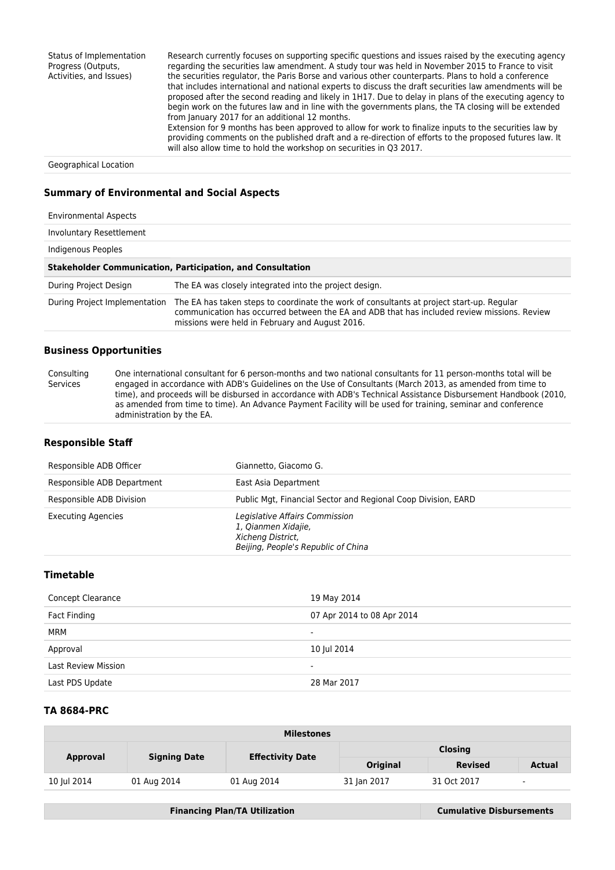Status of Implementation Progress (Outputs, Activities, and Issues) Research currently focuses on supporting specific questions and issues raised by the executing agency regarding the securities law amendment. A study tour was held in November 2015 to France to visit the securities regulator, the Paris Borse and various other counterparts. Plans to hold a conference that includes international and national experts to discuss the draft securities law amendments will be proposed after the second reading and likely in 1H17. Due to delay in plans of the executing agency to begin work on the futures law and in line with the governments plans, the TA closing will be extended from January 2017 for an additional 12 months. Extension for 9 months has been approved to allow for work to finalize inputs to the securities law by providing comments on the published draft and a re-direction of efforts to the proposed futures law. It will also allow time to hold the workshop on securities in Q3 2017.

Geographical Location

## **Summary of Environmental and Social Aspects**

| <b>Environmental Aspects</b>                                      |                                                                                                                                                                                                                                             |  |  |  |
|-------------------------------------------------------------------|---------------------------------------------------------------------------------------------------------------------------------------------------------------------------------------------------------------------------------------------|--|--|--|
| Involuntary Resettlement                                          |                                                                                                                                                                                                                                             |  |  |  |
| Indigenous Peoples                                                |                                                                                                                                                                                                                                             |  |  |  |
| <b>Stakeholder Communication, Participation, and Consultation</b> |                                                                                                                                                                                                                                             |  |  |  |
| During Project Design                                             | The EA was closely integrated into the project design.                                                                                                                                                                                      |  |  |  |
| During Project Implementation                                     | The EA has taken steps to coordinate the work of consultants at project start-up. Regular<br>communication has occurred between the EA and ADB that has included review missions. Review<br>missions were held in February and August 2016. |  |  |  |

## **Business Opportunities**

Consulting Services One international consultant for 6 person-months and two national consultants for 11 person-months total will be engaged in accordance with ADB's Guidelines on the Use of Consultants (March 2013, as amended from time to time), and proceeds will be disbursed in accordance with ADB's Technical Assistance Disbursement Handbook (2010, as amended from time to time). An Advance Payment Facility will be used for training, seminar and conference administration by the EA.

#### **Responsible Staff**

| Responsible ADB Officer    | Giannetto, Giacomo G.                                                                                             |
|----------------------------|-------------------------------------------------------------------------------------------------------------------|
| Responsible ADB Department | East Asia Department                                                                                              |
| Responsible ADB Division   | Public Mgt, Financial Sector and Regional Coop Division, EARD                                                     |
| <b>Executing Agencies</b>  | Legislative Affairs Commission<br>1, Qianmen Xidajie,<br>Xicheng District,<br>Beijing, People's Republic of China |

## **Timetable**

| <b>Concept Clearance</b>   | 19 May 2014                |
|----------------------------|----------------------------|
| Fact Finding               | 07 Apr 2014 to 08 Apr 2014 |
| MRM                        | $\overline{\phantom{0}}$   |
| Approval                   | 10 Jul 2014                |
| <b>Last Review Mission</b> | ۰                          |
| Last PDS Update            | 28 Mar 2017                |

#### **TA 8684-PRC**

| <b>Milestones</b> |                     |                         |                 |                |                          |  |
|-------------------|---------------------|-------------------------|-----------------|----------------|--------------------------|--|
| <b>Approval</b>   | <b>Signing Date</b> | <b>Effectivity Date</b> | <b>Closing</b>  |                |                          |  |
|                   |                     |                         | <b>Original</b> | <b>Revised</b> | <b>Actual</b>            |  |
| 10 Jul 2014       | 01 Aug 2014         | 01 Aug 2014             | 31 Jan 2017     | 31 Oct 2017    | $\overline{\phantom{a}}$ |  |

**Financing Plan/TA Utilization Cumulative Disbursements**